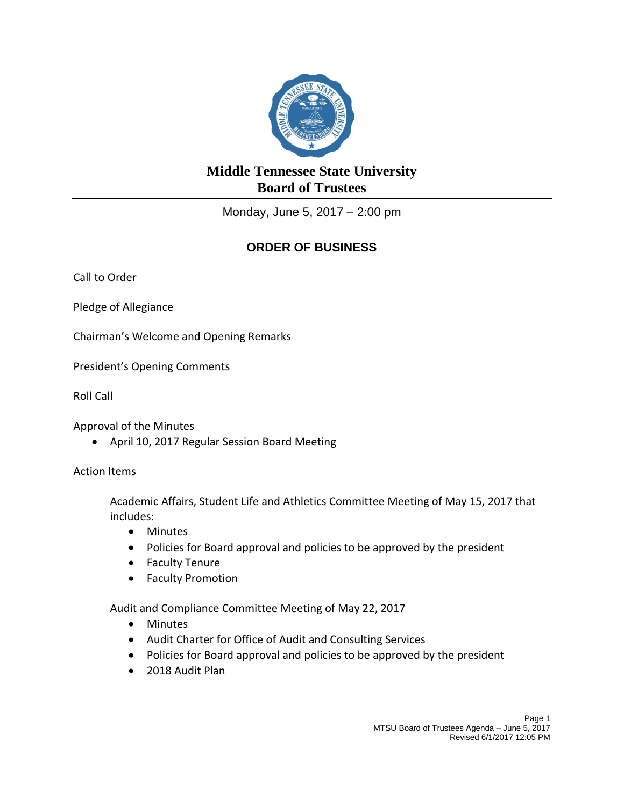

## **Middle Tennessee State University Board of Trustees**

Monday, June 5, 2017 – 2:00 pm

## **ORDER OF BUSINESS**

Call to Order

Pledge of Allegiance

Chairman's Welcome and Opening Remarks

President's Opening Comments

Roll Call

Approval of the Minutes

April 10, 2017 Regular Session Board Meeting

Action Items

Academic Affairs, Student Life and Athletics Committee Meeting of May 15, 2017 that includes:

- Minutes
- Policies for Board approval and policies to be approved by the president
- Faculty Tenure
- Faculty Promotion

Audit and Compliance Committee Meeting of May 22, 2017

- Minutes
- Audit Charter for Office of Audit and Consulting Services
- Policies for Board approval and policies to be approved by the president
- 2018 Audit Plan